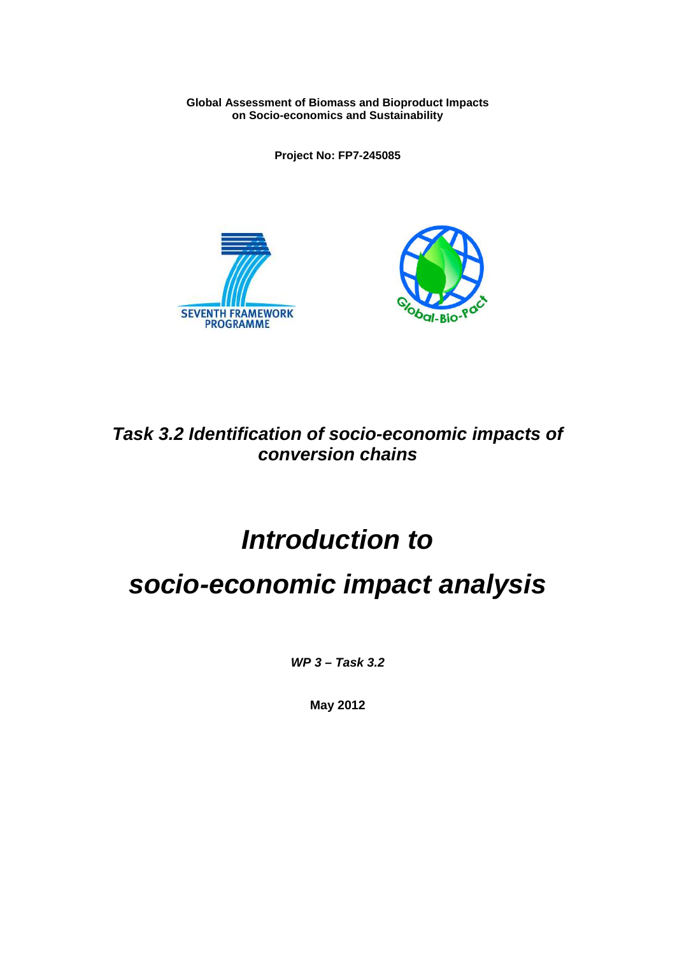**Global Assessment of Biomass and Bioproduct Impacts on Socio-economics and Sustainability**

**Project No: FP7-245085**





*Task 3.2 Identification of socio-economic impacts of conversion chains*

# *Introduction to*

# *socio-economic impact analysis*

*WP 3 – Task 3.2*

**May 2012**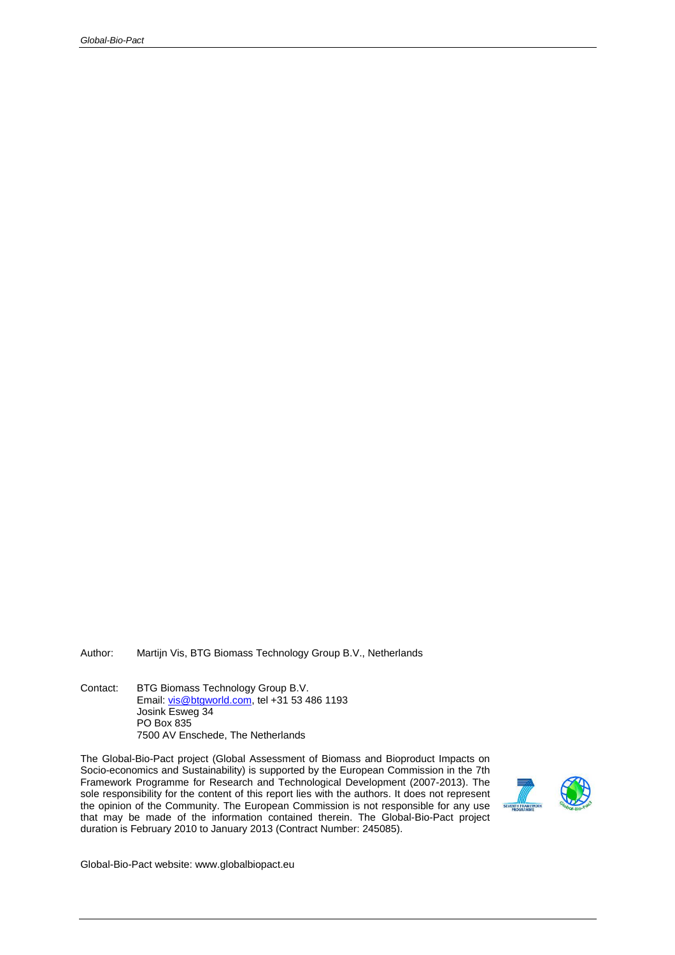Author: Martijn Vis, BTG Biomass Technology Group B.V., Netherlands

Contact: BTG Biomass Technology Group B.V. Email: [vis@btgworld.com,](mailto:vis@btgworld.com) tel +31 53 486 1193 Josink Esweg 34 PO Box 835 7500 AV Enschede, The Netherlands

The Global-Bio-Pact project (Global Assessment of Biomass and Bioproduct Impacts on Socio-economics and Sustainability) is supported by the European Commission in the 7th Framework Programme for Research and Technological Development (2007-2013). The sole responsibility for the content of this report lies with the authors. It does not represent the opinion of the Community. The European Commission is not responsible for any use that may be made of the information contained therein. The Global-Bio-Pact project duration is February 2010 to January 2013 (Contract Number: 245085).



Global-Bio-Pact website: www.globalbiopact.eu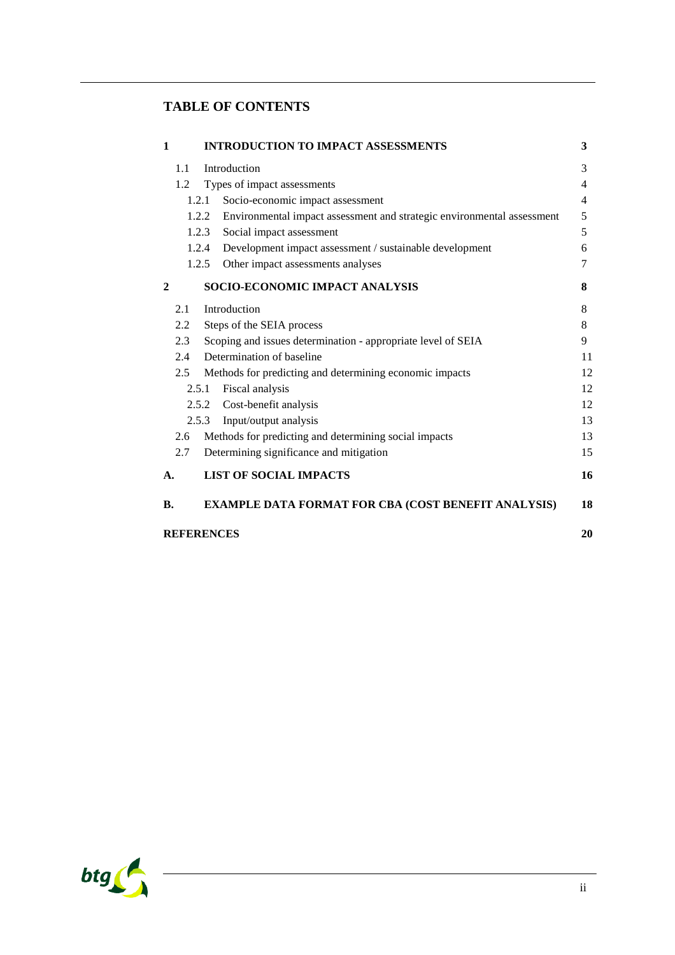# **TABLE OF CONTENTS**

| $\mathbf{1}$                                                                    | <b>INTRODUCTION TO IMPACT ASSESSMENTS</b>                        | 3  |  |  |  |  |  |  |  |  |
|---------------------------------------------------------------------------------|------------------------------------------------------------------|----|--|--|--|--|--|--|--|--|
| 1.1                                                                             | Introduction                                                     |    |  |  |  |  |  |  |  |  |
| 1.2                                                                             | Types of impact assessments                                      |    |  |  |  |  |  |  |  |  |
|                                                                                 | Socio-economic impact assessment<br>1.2.1                        |    |  |  |  |  |  |  |  |  |
| 1.2.2<br>Environmental impact assessment and strategic environmental assessment |                                                                  |    |  |  |  |  |  |  |  |  |
|                                                                                 | Social impact assessment<br>1.2.3                                |    |  |  |  |  |  |  |  |  |
|                                                                                 | Development impact assessment / sustainable development<br>1.2.4 |    |  |  |  |  |  |  |  |  |
|                                                                                 | Other impact assessments analyses<br>1.2.5                       | 7  |  |  |  |  |  |  |  |  |
| $\mathbf{2}$                                                                    | <b>SOCIO-ECONOMIC IMPACT ANALYSIS</b>                            | 8  |  |  |  |  |  |  |  |  |
| 2.1                                                                             | Introduction                                                     | 8  |  |  |  |  |  |  |  |  |
| Steps of the SEIA process<br>2.2                                                |                                                                  |    |  |  |  |  |  |  |  |  |
| Scoping and issues determination - appropriate level of SEIA<br>$2.3\degree$    |                                                                  |    |  |  |  |  |  |  |  |  |
| Determination of baseline<br>2.4                                                |                                                                  |    |  |  |  |  |  |  |  |  |
| Methods for predicting and determining economic impacts<br>2.5                  |                                                                  |    |  |  |  |  |  |  |  |  |
| Fiscal analysis<br>2.5.1                                                        |                                                                  |    |  |  |  |  |  |  |  |  |
|                                                                                 | Cost-benefit analysis<br>2.5.2                                   |    |  |  |  |  |  |  |  |  |
|                                                                                 | Input/output analysis<br>2.5.3                                   |    |  |  |  |  |  |  |  |  |
| 2.6                                                                             | Methods for predicting and determining social impacts            |    |  |  |  |  |  |  |  |  |
| 2.7                                                                             | Determining significance and mitigation                          | 15 |  |  |  |  |  |  |  |  |
| A.                                                                              | <b>LIST OF SOCIAL IMPACTS</b>                                    | 16 |  |  |  |  |  |  |  |  |
| <b>B.</b>                                                                       | <b>EXAMPLE DATA FORMAT FOR CBA (COST BENEFIT ANALYSIS)</b>       | 18 |  |  |  |  |  |  |  |  |
|                                                                                 | <b>REFERENCES</b>                                                | 20 |  |  |  |  |  |  |  |  |

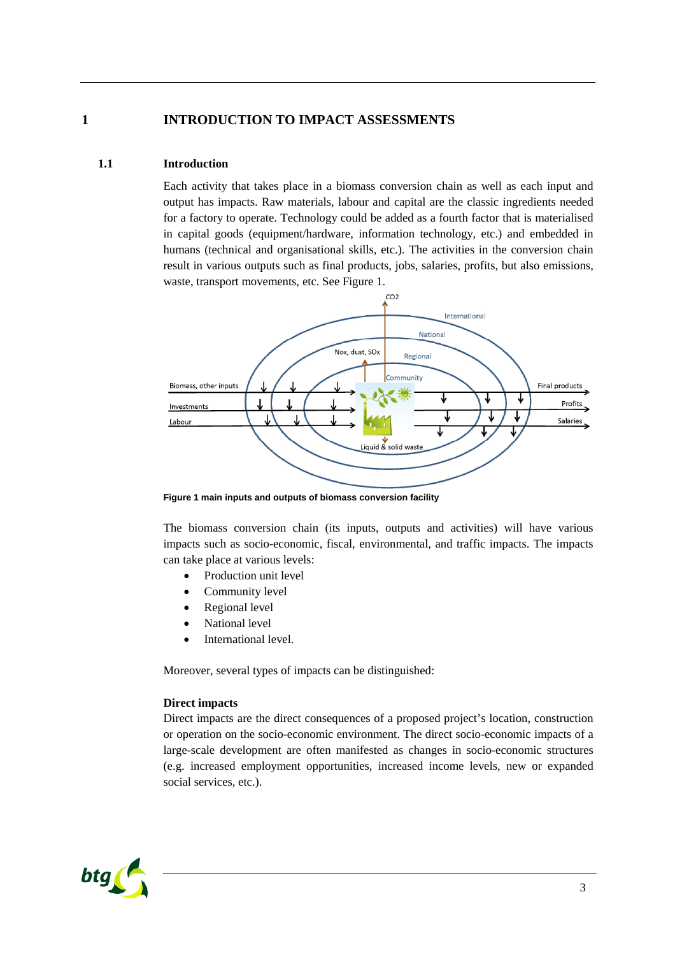# **1 INTRODUCTION TO IMPACT ASSESSMENTS**

# **1.1 Introduction**

<span id="page-3-1"></span><span id="page-3-0"></span>Each activity that takes place in a biomass conversion chain as well as each input and output has impacts. Raw materials, labour and capital are the classic ingredients needed for a factory to operate. Technology could be added as a fourth factor that is materialised in capital goods (equipment/hardware, information technology, etc.) and embedded in humans (technical and organisational skills, etc.). The activities in the conversion chain result in various outputs such as final products, jobs, salaries, profits, but also emissions, waste, transport movements, etc.See [Figure 1](#page-3-2).



<span id="page-3-2"></span>**Figure 1 main inputs and outputs of biomass conversion facility**

The biomass conversion chain (its inputs, outputs and activities) will have various impacts such as socio-economic, fiscal, environmental, and traffic impacts. The impacts can take place at various levels:

- Production unit level
- Community level
- Regional level
- National level
- International level.

Moreover, several types of impacts can be distinguished:

#### **Direct impacts**

Direct impacts are the direct consequences of a proposed project's location, construction or operation on the socio-economic environment. The direct socio-economic impacts of a large-scale development are often manifested as changes in socio-economic structures (e.g. increased employment opportunities, increased income levels, new or expanded social services, etc.).

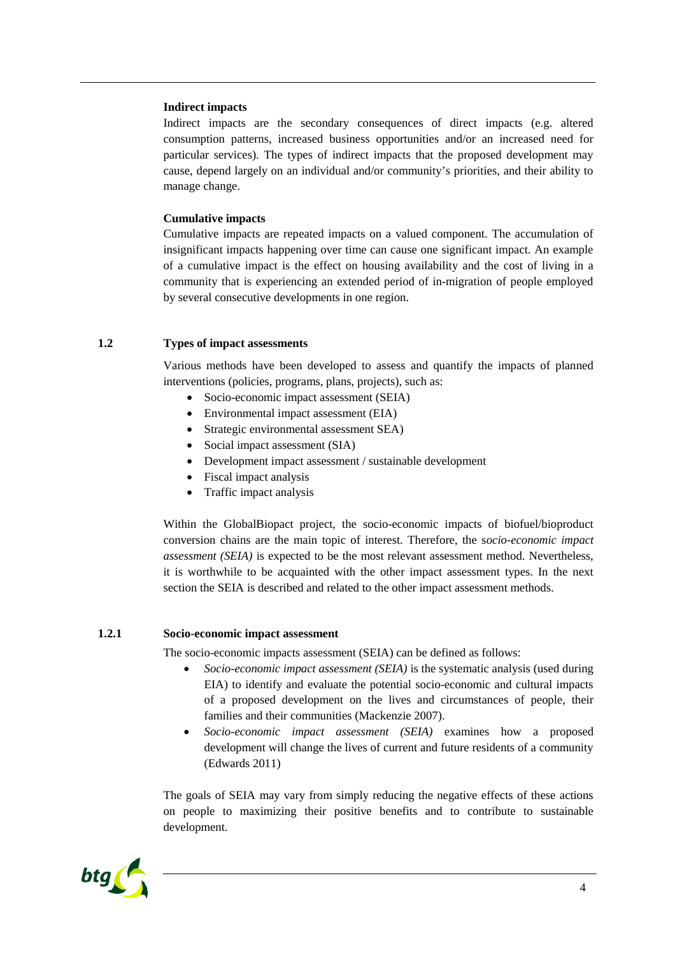#### **Indirect impacts**

Indirect impacts are the secondary consequences of direct impacts (e.g. altered consumption patterns, increased business opportunities and/or an increased need for particular services). The types of indirect impacts that the proposed development may cause, depend largely on an individual and/or community's priorities, and their ability to manage change.

#### **Cumulative impacts**

Cumulative impacts are repeated impacts on a valued component. The accumulation of insignificant impacts happening over time can cause one significant impact. An example of a cumulative impact is the effect on housing availability and the cost of living in a community that is experiencing an extended period of in-migration of people employed by several consecutive developments in one region.

## **1.2 Types of impact assessments**

<span id="page-4-0"></span>Various methods have been developed to assess and quantify the impacts of planned interventions (policies, programs, plans, projects), such as:

- Socio-economic impact assessment (SEIA)
- Environmental impact assessment (EIA)
- Strategic environmental assessment SEA)
- Social impact assessment (SIA)
- Development impact assessment / sustainable development
- Fiscal impact analysis
- Traffic impact analysis

Within the GlobalBiopact project, the socio-economic impacts of biofuel/bioproduct conversion chains are the main topic of interest. Therefore, the s*ocio-economic impact assessment (SEIA)* is expected to be the most relevant assessment method. Nevertheless, it is worthwhile to be acquainted with the other impact assessment types. In the next section the SEIA is described and related to the other impact assessment methods.

#### **1.2.1 Socio-economic impact assessment**

<span id="page-4-1"></span>The socio-economic impacts assessment (SEIA) can be defined as follows:

- *Socio-economic impact assessment (SEIA)* is the systematic analysis (used during EIA) to identify and evaluate the potential socio-economic and cultural impacts of a proposed development on the lives and circumstances of people, their families and their communities (Mackenzie 2007).
- *Socio-economic impact assessment (SEIA)* examines how a proposed development will change the lives of current and future residents of a community (Edwards 2011)

The goals of SEIA may vary from simply reducing the negative effects of these actions on people to maximizing their positive benefits and to contribute to sustainable development.

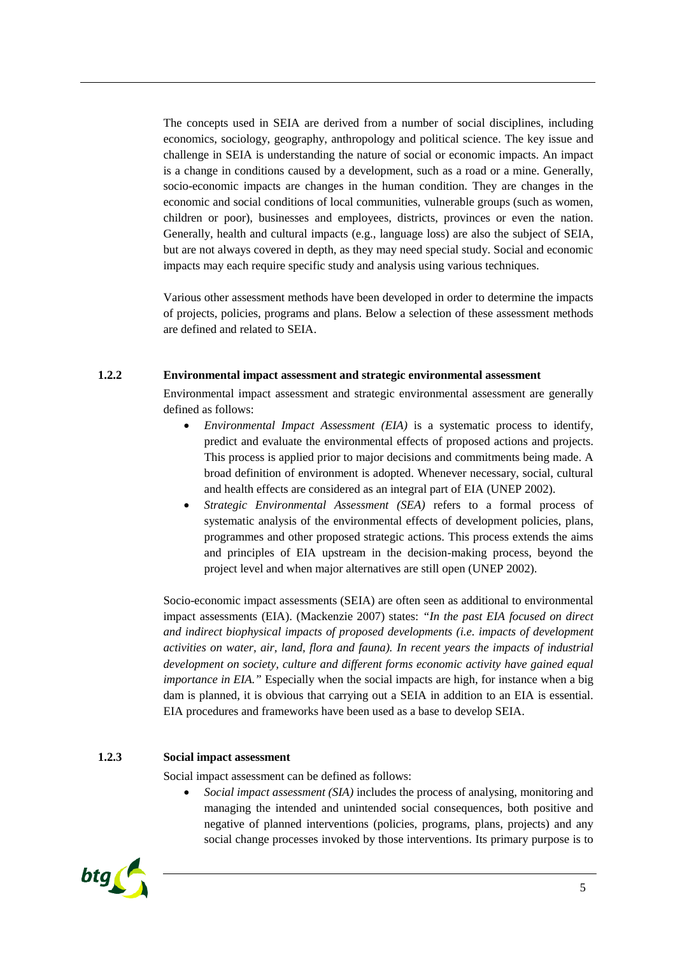The concepts used in SEIA are derived from a number of social disciplines, including economics, sociology, geography, anthropology and political science. The key issue and challenge in SEIA is understanding the nature of social or economic impacts. An impact is a change in conditions caused by a development, such as a road or a mine. Generally, socio-economic impacts are changes in the human condition. They are changes in the economic and social conditions of local communities, vulnerable groups (such as women, children or poor), businesses and employees, districts, provinces or even the nation. Generally, health and cultural impacts (e.g., language loss) are also the subject of SEIA, but are not always covered in depth, as they may need special study. Social and economic impacts may each require specific study and analysis using various techniques.

Various other assessment methods have been developed in order to determine the impacts of projects, policies, programs and plans. Below a selection of these assessment methods are defined and related to SEIA.

#### **1.2.2 Environmental impact assessment and strategic environmental assessment**

<span id="page-5-0"></span>Environmental impact assessment and strategic environmental assessment are generally defined as follows:

- *Environmental Impact Assessment (EIA)* is a systematic process to identify, predict and evaluate the environmental effects of proposed actions and projects. This process is applied prior to major decisions and commitments being made. A broad definition of environment is adopted. Whenever necessary, social, cultural and health effects are considered as an integral part of EIA (UNEP 2002).
- *Strategic Environmental Assessment (SEA)* refers to a formal process of systematic analysis of the environmental effects of development policies, plans, programmes and other proposed strategic actions. This process extends the aims and principles of EIA upstream in the decision-making process, beyond the project level and when major alternatives are still open (UNEP 2002).

Socio-economic impact assessments (SEIA) are often seen as additional to environmental impact assessments (EIA). (Mackenzie 2007) states: *"In the past EIA focused on direct and indirect biophysical impacts of proposed developments (i.e. impacts of development activities on water, air, land, flora and fauna). In recent years the impacts of industrial development on society, culture and different forms economic activity have gained equal importance in EIA.* " Especially when the social impacts are high, for instance when a big dam is planned, it is obvious that carrying out a SEIA in addition to an EIA is essential. EIA procedures and frameworks have been used as a base to develop SEIA.

#### **1.2.3 Social impact assessment**

<span id="page-5-1"></span>Social impact assessment can be defined as follows:

 *Social impact assessment (SIA)* includes the process of analysing, monitoring and managing the intended and unintended social consequences, both positive and negative of planned interventions (policies, programs, plans, projects) and any social change processes invoked by those interventions. Its primary purpose is to

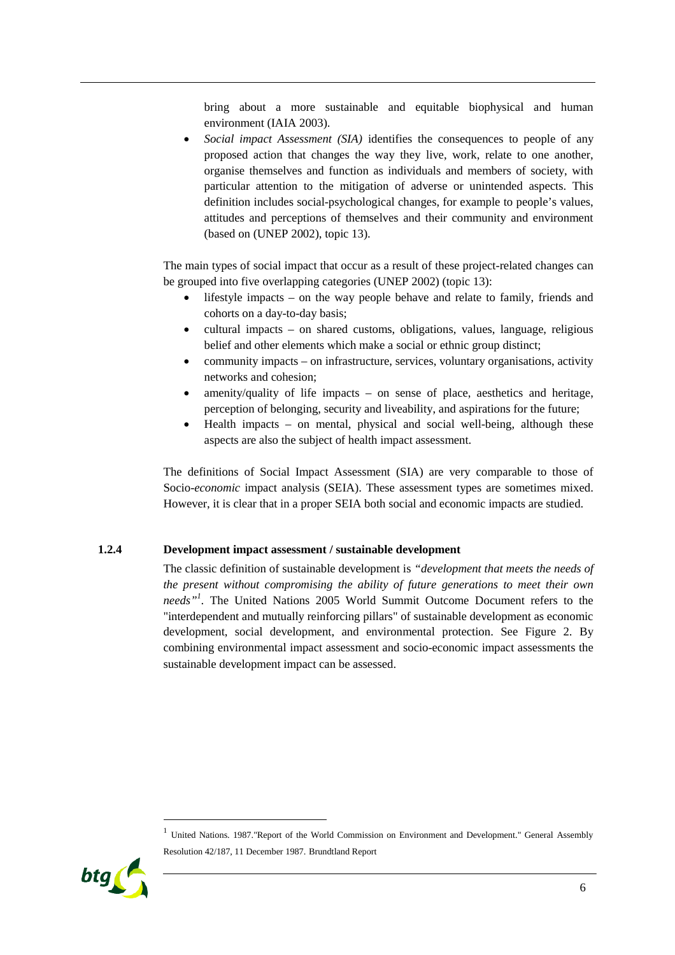bring about a more sustainable and equitable biophysical and human environment (IAIA 2003).

 *Social impact Assessment (SIA)* identifies the consequences to people of any proposed action that changes the way they live, work, relate to one another, organise themselves and function as individuals and members of society, with particular attention to the mitigation of adverse or unintended aspects. This definition includes social-psychological changes, for example to people's values, attitudes and perceptions of themselves and their community and environment (based on (UNEP 2002), topic 13).

The main types of social impact that occur as a result of these project-related changes can be grouped into five overlapping categories (UNEP 2002) (topic 13):

- lifestyle impacts on the way people behave and relate to family, friends and cohorts on a day-to-day basis;
- cultural impacts on shared customs, obligations, values, language, religious belief and other elements which make a social or ethnic group distinct;
- community impacts on infrastructure, services, voluntary organisations, activity networks and cohesion;
- amenity/quality of life impacts on sense of place, aesthetics and heritage, perception of belonging, security and liveability, and aspirations for the future;
- Health impacts on mental, physical and social well-being, although these aspects are also the subject of health impact assessment.

The definitions of Social Impact Assessment (SIA) are very comparable to those of Socio-*economic* impact analysis (SEIA). These assessment types are sometimes mixed. However, it is clear that in a proper SEIA both social and economic impacts are studied.

#### **1.2.4 Development impact assessment / sustainable development**

<span id="page-6-0"></span>The classic definition of sustainable development is *"development that meets the needs of the present without compromising the ability of future generations to meet their own needs"[1](#page-6-1)* . The United Nations 2005 World Summit Outcome Document refers to the "interdependent and mutually reinforcing pillars" of sustainable development as economic development, social development, and environmental protection.See [Figure 2.](#page-7-1) By combining environmental impact assessment and socio-economic impact assessments the sustainable development impact can be assessed.

<span id="page-6-1"></span><sup>&</sup>lt;sup>1</sup> United Nations. 1987."Report of the World Commission on Environment and Development." General Assembly Resolution 42/187, 11 December 1987. Brundtland Report

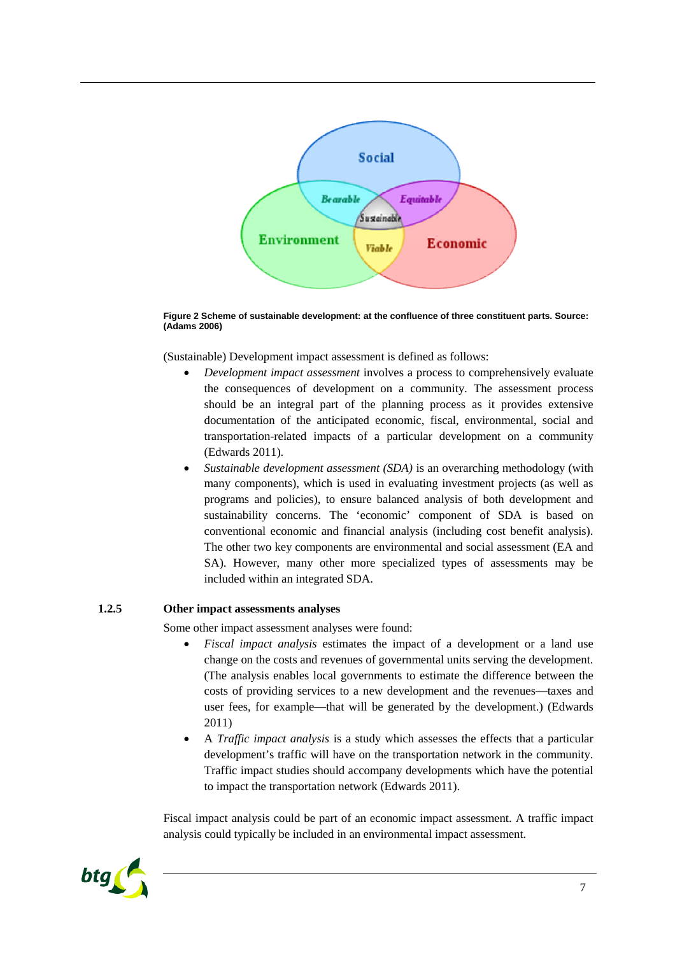

<span id="page-7-1"></span>**Figure 2 Scheme of sustainable development: at the confluence of three constituent parts. Source: (Adams 2006)**

(Sustainable) Development impact assessment is defined as follows:

- *Development impact assessment* involves a process to comprehensively evaluate the consequences of development on a community. The assessment process should be an integral part of the planning process as it provides extensive documentation of the anticipated economic, fiscal, environmental, social and transportation-related impacts of a particular development on a community (Edwards 2011).
- *Sustainable development assessment (SDA)* is an overarching methodology (with many components), which is used in evaluating investment projects (as well as programs and policies), to ensure balanced analysis of both development and sustainability concerns. The 'economic' component of SDA is based on conventional economic and financial analysis (including cost benefit analysis). The other two key components are environmental and social assessment (EA and SA). However, many other more specialized types of assessments may be included within an integrated SDA.

#### **1.2.5 Other impact assessments analyses**

<span id="page-7-0"></span>Some other impact assessment analyses were found:

- *Fiscal impact analysis* estimates the impact of a development or a land use change on the costs and revenues of governmental units serving the development. (The analysis enables local governments to estimate the difference between the costs of providing services to a new development and the revenues—taxes and user fees, for example—that will be generated by the development.) (Edwards 2011)
- A *Traffic impact analysis* is a study which assesses the effects that a particular development's traffic will have on the transportation network in the community. Traffic impact studies should accompany developments which have the potential to impact the transportation network (Edwards 2011).

Fiscal impact analysis could be part of an economic impact assessment. A traffic impact analysis could typically be included in an environmental impact assessment.

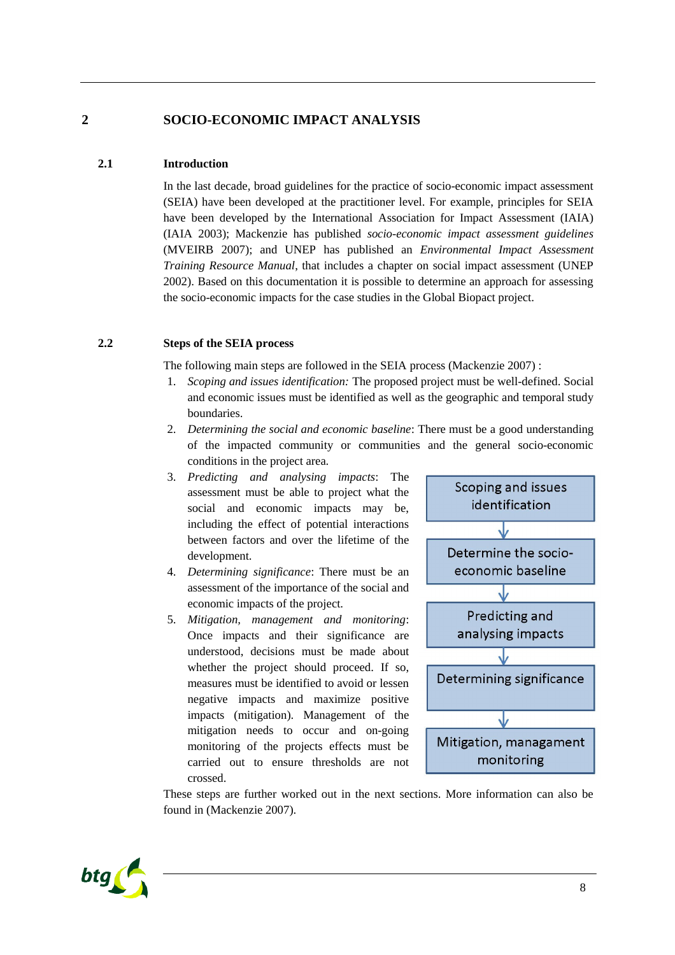# **2 SOCIO-ECONOMIC IMPACT ANALYSIS**

## **2.1 Introduction**

<span id="page-8-1"></span><span id="page-8-0"></span>In the last decade, broad guidelines for the practice of socio-economic impact assessment (SEIA) have been developed at the practitioner level. For example, principles for SEIA have been developed by the International Association for Impact Assessment (IAIA) (IAIA 2003); Mackenzie has published *socio-economic impact assessment guidelines* (MVEIRB 2007); and UNEP has published an *Environmental Impact Assessment Training Resource Manual*, that includes a chapter on social impact assessment (UNEP 2002). Based on this documentation it is possible to determine an approach for assessing the socio-economic impacts for the case studies in the Global Biopact project.

#### **2.2 Steps of the SEIA process**

<span id="page-8-2"></span>The following main steps are followed in the SEIA process (Mackenzie 2007) :

- 1. *Scoping and issues identification:* The proposed project must be well-defined. Social and economic issues must be identified as well as the geographic and temporal study boundaries.
- 2. *Determining the social and economic baseline*: There must be a good understanding of the impacted community or communities and the general socio-economic conditions in the project area.
- 3. *Predicting and analysing impacts*: The assessment must be able to project what the social and economic impacts may be, including the effect of potential interactions between factors and over the lifetime of the development.
- 4. *Determining significance*: There must be an assessment of the importance of the social and economic impacts of the project.
- 5. *Mitigation, management and monitoring*: Once impacts and their significance are understood, decisions must be made about whether the project should proceed. If so, measures must be identified to avoid or lessen negative impacts and maximize positive impacts (mitigation). Management of the mitigation needs to occur and on-going monitoring of the projects effects must be carried out to ensure thresholds are not crossed.



These steps are further worked out in the next sections. More information can also be found in (Mackenzie 2007).

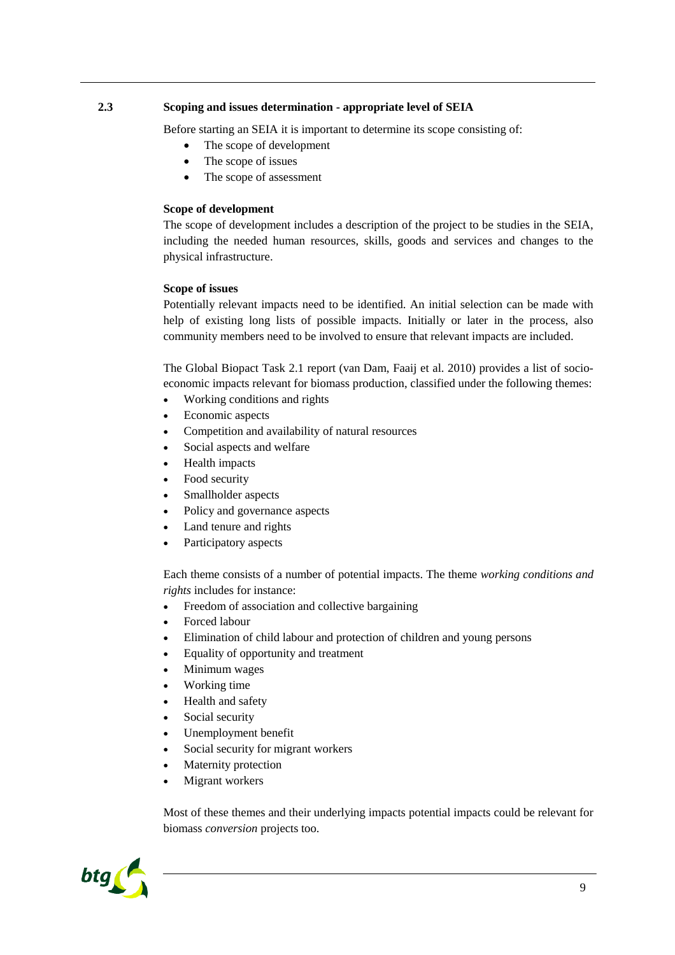## **2.3 Scoping and issues determination - appropriate level of SEIA**

<span id="page-9-0"></span>Before starting an SEIA it is important to determine its scope consisting of:

- The scope of development
- The scope of issues
- The scope of assessment

#### **Scope of development**

The scope of development includes a description of the project to be studies in the SEIA, including the needed human resources, skills, goods and services and changes to the physical infrastructure.

#### **Scope of issues**

Potentially relevant impacts need to be identified. An initial selection can be made with help of existing long lists of possible impacts. Initially or later in the process, also community members need to be involved to ensure that relevant impacts are included.

The Global Biopact Task 2.1 report (van Dam, Faaij et al. 2010) provides a list of socioeconomic impacts relevant for biomass production, classified under the following themes:

- Working conditions and rights
- Economic aspects
- Competition and availability of natural resources
- Social aspects and welfare
- Health impacts
- Food security
- Smallholder aspects
- Policy and governance aspects
- Land tenure and rights
- Participatory aspects

Each theme consists of a number of potential impacts. The theme *working conditions and rights* includes for instance:

- Freedom of association and collective bargaining
- Forced labour
- Elimination of child labour and protection of children and young persons
- Equality of opportunity and treatment
- Minimum wages
- Working time
- Health and safety
- Social security
- Unemployment benefit
- Social security for migrant workers
- Maternity protection
- Migrant workers

Most of these themes and their underlying impacts potential impacts could be relevant for biomass *conversion* projects too.

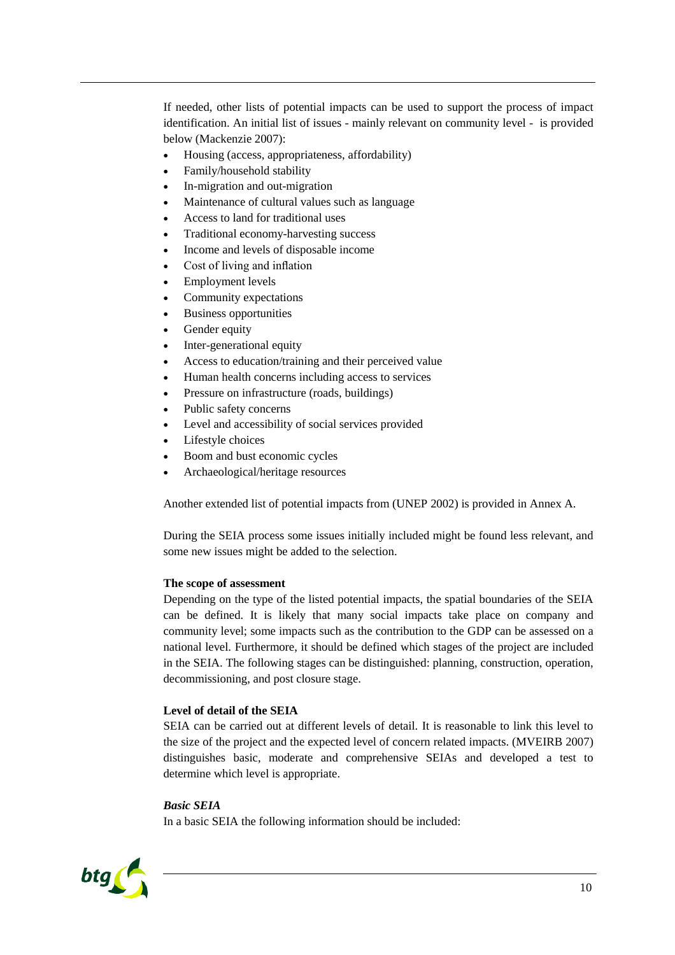If needed, other lists of potential impacts can be used to support the process of impact identification. An initial list of issues - mainly relevant on community level - is provided below (Mackenzie 2007):

- Housing (access, appropriateness, affordability)
- Family/household stability
- In-migration and out-migration
- Maintenance of cultural values such as language
- Access to land for traditional uses
- Traditional economy-harvesting success
- Income and levels of disposable income
- Cost of living and inflation
- Employment levels
- Community expectations
- Business opportunities
- Gender equity
- Inter-generational equity
- Access to education/training and their perceived value
- Human health concerns including access to services
- Pressure on infrastructure (roads, buildings)
- Public safety concerns
- Level and accessibility of social services provided
- Lifestyle choices
- Boom and bust economic cycles
- Archaeological/heritage resources

[Another extended list of potential impacts from \(UNEP 2002\) is provided in Annex A.](#page-16-0)

During the SEIA process some issues initially included might be found less relevant, and some new issues might be added to the selection.

#### **The scope of assessment**

Depending on the type of the listed potential impacts, the spatial boundaries of the SEIA can be defined. It is likely that many social impacts take place on company and community level; some impacts such as the contribution to the GDP can be assessed on a national level. Furthermore, it should be defined which stages of the project are included in the SEIA. The following stages can be distinguished: planning, construction, operation, decommissioning, and post closure stage.

#### **Level of detail of the SEIA**

SEIA can be carried out at different levels of detail. It is reasonable to link this level to the size of the project and the expected level of concern related impacts. (MVEIRB 2007) distinguishes basic, moderate and comprehensive SEIAs and developed a test to determine which level is appropriate.

#### *Basic SEIA*

In a basic SEIA the following information should be included:

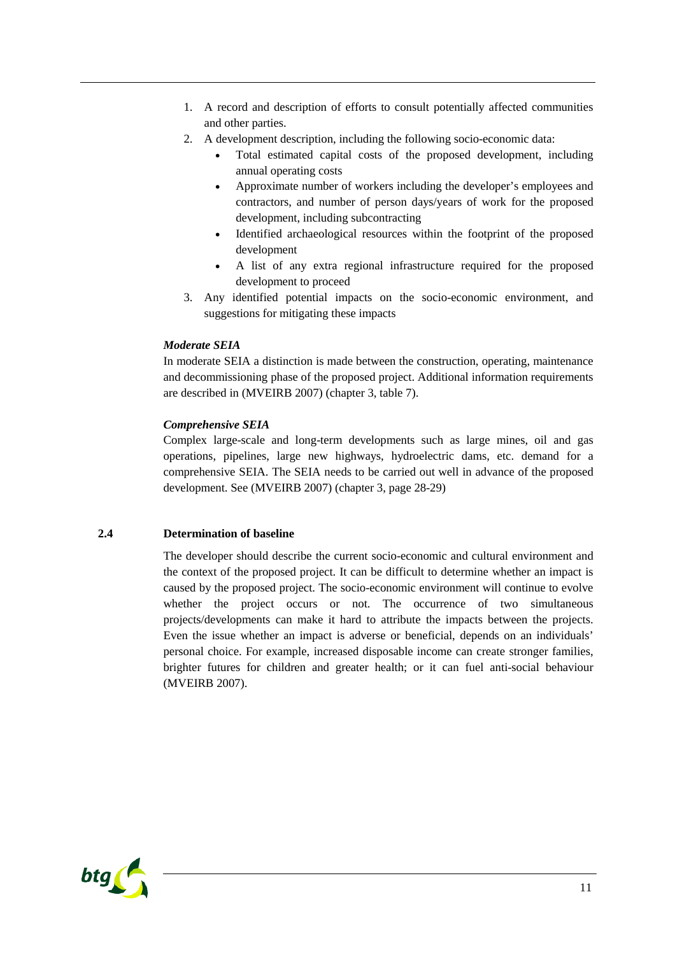- 1. A record and description of efforts to consult potentially affected communities and other parties.
- 2. A development description, including the following socio-economic data:
	- Total estimated capital costs of the proposed development, including annual operating costs
	- Approximate number of workers including the developer's employees and contractors, and number of person days/years of work for the proposed development, including subcontracting
	- Identified archaeological resources within the footprint of the proposed development
	- A list of any extra regional infrastructure required for the proposed development to proceed
- 3. Any identified potential impacts on the socio-economic environment, and suggestions for mitigating these impacts

# *Moderate SEIA*

In moderate SEIA a distinction is made between the construction, operating, maintenance and decommissioning phase of the proposed project. Additional information requirements are described in (MVEIRB 2007) (chapter 3, table 7).

# *Comprehensive SEIA*

Complex large-scale and long-term developments such as large mines, oil and gas operations, pipelines, large new highways, hydroelectric dams, etc. demand for a comprehensive SEIA. The SEIA needs to be carried out well in advance of the proposed development. See (MVEIRB 2007) (chapter 3, page 28-29)

# **2.4 Determination of baseline**

<span id="page-11-0"></span>The developer should describe the current socio-economic and cultural environment and the context of the proposed project. It can be difficult to determine whether an impact is caused by the proposed project. The socio-economic environment will continue to evolve whether the project occurs or not. The occurrence of two simultaneous projects/developments can make it hard to attribute the impacts between the projects. Even the issue whether an impact is adverse or beneficial, depends on an individuals' personal choice. For example, increased disposable income can create stronger families, brighter futures for children and greater health; or it can fuel anti-social behaviour (MVEIRB 2007).

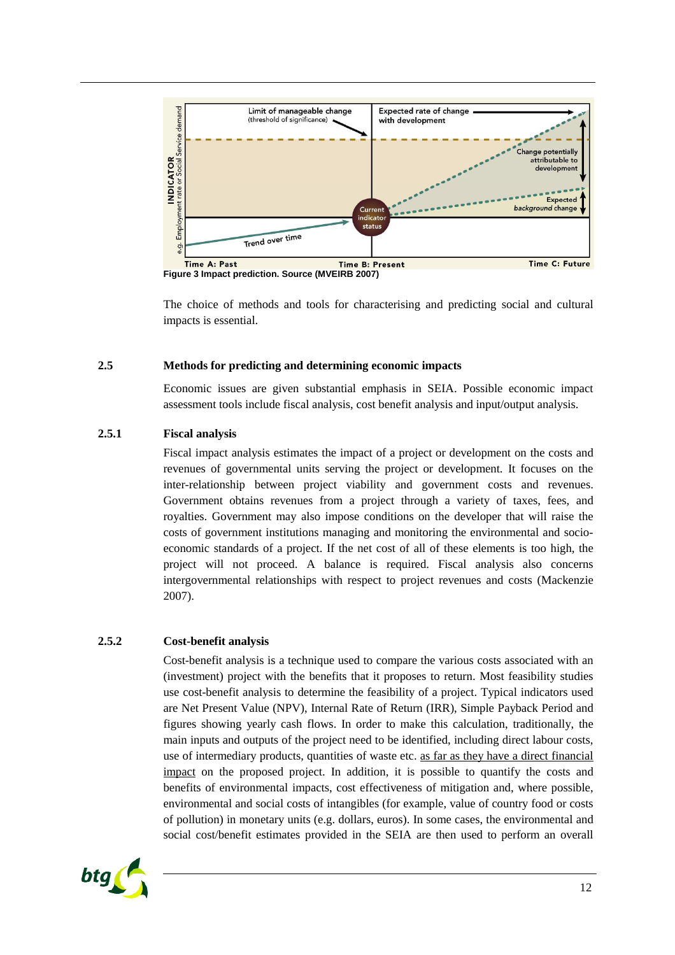

**Figure 3 Impact prediction. Source (MVEIRB 2007)**

The choice of methods and tools for characterising and predicting social and cultural impacts is essential.

## **2.5 Methods for predicting and determining economic impacts**

<span id="page-12-0"></span>Economic issues are given substantial emphasis in SEIA. Possible economic impact assessment tools include fiscal analysis, cost benefit analysis and input/output analysis.

# **2.5.1 Fiscal analysis**

<span id="page-12-1"></span>Fiscal impact analysis estimates the impact of a project or development on the costs and revenues of governmental units serving the project or development. It focuses on the inter-relationship between project viability and government costs and revenues. Government obtains revenues from a project through a variety of taxes, fees, and royalties. Government may also impose conditions on the developer that will raise the costs of government institutions managing and monitoring the environmental and socioeconomic standards of a project. If the net cost of all of these elements is too high, the project will not proceed. A balance is required. Fiscal analysis also concerns intergovernmental relationships with respect to project revenues and costs (Mackenzie 2007).

# **2.5.2 Cost-benefit analysis**

<span id="page-12-2"></span>Cost-benefit analysis is a technique used to compare the various costs associated with an (investment) project with the benefits that it proposes to return. Most feasibility studies use cost-benefit analysis to determine the feasibility of a project. Typical indicators used are Net Present Value (NPV), Internal Rate of Return (IRR), Simple Payback Period and figures showing yearly cash flows. In order to make this calculation, traditionally, the main inputs and outputs of the project need to be identified, including direct labour costs, use of intermediary products, quantities of waste etc. as far as they have a direct financial impact on the proposed project. In addition, it is possible to quantify the costs and benefits of environmental impacts, cost effectiveness of mitigation and, where possible, environmental and social costs of intangibles (for example, value of country food or costs of pollution) in monetary units (e.g. dollars, euros). In some cases, the environmental and social cost/benefit estimates provided in the SEIA are then used to perform an overall

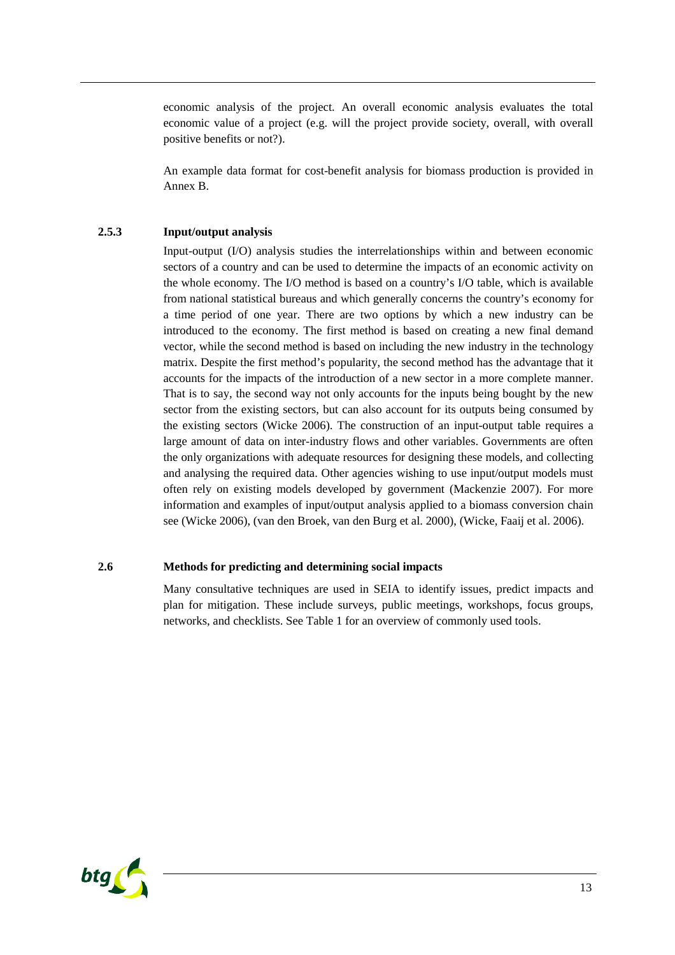economic analysis of the project. An overall economic analysis evaluates the total economic value of a project (e.g. will the project provide society, overall, with overall positive benefits or not?).

An example data format for cost-benefit analysis for biomass production is provided in Annex [B.](#page-18-0)

#### **2.5.3 Input/output analysis**

<span id="page-13-0"></span>Input-output (I/O) analysis studies the interrelationships within and between economic sectors of a country and can be used to determine the impacts of an economic activity on the whole economy. The I/O method is based on a country's I/O table, which is available from national statistical bureaus and which generally concerns the country's economy for a time period of one year. There are two options by which a new industry can be introduced to the economy. The first method is based on creating a new final demand vector, while the second method is based on including the new industry in the technology matrix. Despite the first method's popularity, the second method has the advantage that it accounts for the impacts of the introduction of a new sector in a more complete manner. That is to say, the second way not only accounts for the inputs being bought by the new sector from the existing sectors, but can also account for its outputs being consumed by the existing sectors (Wicke 2006). The construction of an input-output table requires a large amount of data on inter-industry flows and other variables. Governments are often the only organizations with adequate resources for designing these models, and collecting and analysing the required data. Other agencies wishing to use input/output models must often rely on existing models developed by government (Mackenzie 2007). For more information and examples of input/output analysis applied to a biomass conversion chain see (Wicke 2006), (van den Broek, van den Burg et al. 2000), (Wicke, Faaij et al. 2006).

#### **2.6 Methods for predicting and determining social impacts**

<span id="page-13-1"></span>Many consultative techniques are used in SEIA to identify issues, predict impacts and plan for mitigation. These include surveys, public meetings, workshops, focus groups, networks, and checklists.See [Table 1](#page-14-0) for an overview of commonly used tools.

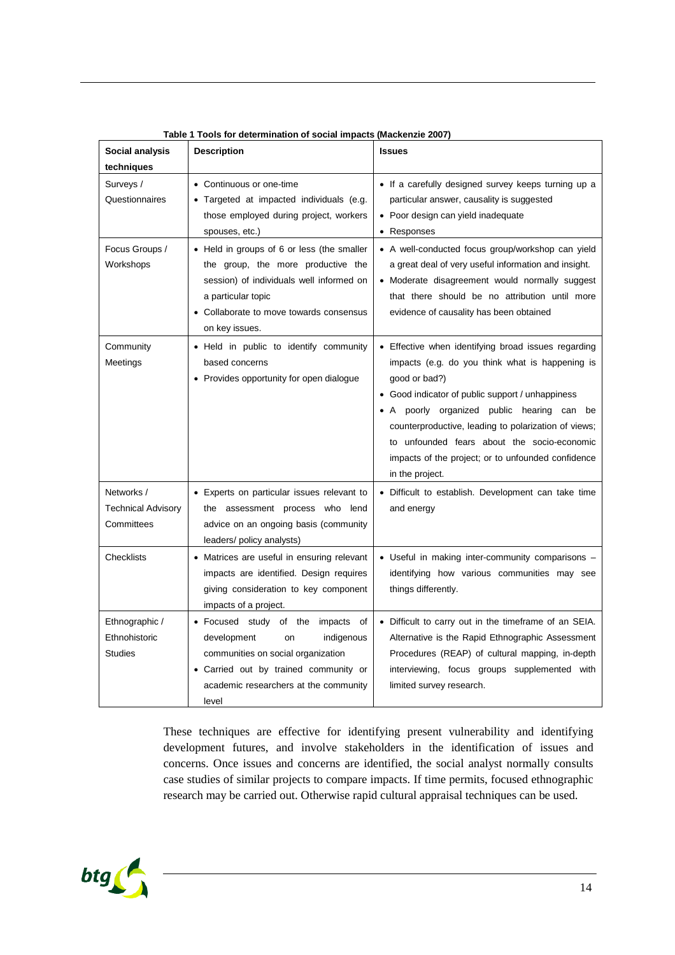| Social analysis                                       | <b>Description</b>                                                                                                                                                                                              | <b>Issues</b>                                                                                                                                                                                                                                                                                                                                                                                             |  |  |  |  |  |  |  |
|-------------------------------------------------------|-----------------------------------------------------------------------------------------------------------------------------------------------------------------------------------------------------------------|-----------------------------------------------------------------------------------------------------------------------------------------------------------------------------------------------------------------------------------------------------------------------------------------------------------------------------------------------------------------------------------------------------------|--|--|--|--|--|--|--|
| techniques                                            |                                                                                                                                                                                                                 |                                                                                                                                                                                                                                                                                                                                                                                                           |  |  |  |  |  |  |  |
| Surveys /<br>Questionnaires                           | • Continuous or one-time<br>• Targeted at impacted individuals (e.g.<br>those employed during project, workers<br>spouses, etc.)                                                                                | • If a carefully designed survey keeps turning up a<br>particular answer, causality is suggested<br>• Poor design can yield inadequate<br>• Responses                                                                                                                                                                                                                                                     |  |  |  |  |  |  |  |
| Focus Groups /<br>Workshops                           | • Held in groups of 6 or less (the smaller<br>the group, the more productive the<br>session) of individuals well informed on<br>a particular topic<br>• Collaborate to move towards consensus<br>on key issues. | • A well-conducted focus group/workshop can yield<br>a great deal of very useful information and insight.<br>• Moderate disagreement would normally suggest<br>that there should be no attribution until more<br>evidence of causality has been obtained                                                                                                                                                  |  |  |  |  |  |  |  |
| Community<br>Meetings                                 | • Held in public to identify community<br>based concerns<br>• Provides opportunity for open dialogue                                                                                                            | • Effective when identifying broad issues regarding<br>impacts (e.g. do you think what is happening is<br>good or bad?)<br>• Good indicator of public support / unhappiness<br>• A poorly organized public hearing can be<br>counterproductive, leading to polarization of views;<br>to unfounded fears about the socio-economic<br>impacts of the project; or to unfounded confidence<br>in the project. |  |  |  |  |  |  |  |
| Networks /<br><b>Technical Advisory</b><br>Committees | • Experts on particular issues relevant to<br>the assessment process who lend<br>advice on an ongoing basis (community<br>leaders/ policy analysts)                                                             | • Difficult to establish. Development can take time<br>and energy                                                                                                                                                                                                                                                                                                                                         |  |  |  |  |  |  |  |
| <b>Checklists</b>                                     | • Matrices are useful in ensuring relevant<br>impacts are identified. Design requires<br>giving consideration to key component<br>impacts of a project.                                                         | • Useful in making inter-community comparisons -<br>identifying how various communities may see<br>things differently.                                                                                                                                                                                                                                                                                    |  |  |  |  |  |  |  |
| Ethnographic /<br>Ethnohistoric<br><b>Studies</b>     | • Focused study of the impacts of<br>development<br>indigenous<br><b>on</b><br>communities on social organization<br>• Carried out by trained community or<br>academic researchers at the community<br>level    | • Difficult to carry out in the timeframe of an SEIA.<br>Alternative is the Rapid Ethnographic Assessment<br>Procedures (REAP) of cultural mapping, in-depth<br>interviewing, focus groups supplemented with<br>limited survey research.                                                                                                                                                                  |  |  |  |  |  |  |  |

<span id="page-14-0"></span>**Table 1 Tools for determination of social impacts (Mackenzie 2007)**

These techniques are effective for identifying present vulnerability and identifying development futures, and involve stakeholders in the identification of issues and concerns. Once issues and concerns are identified, the social analyst normally consults case studies of similar projects to compare impacts. If time permits, focused ethnographic research may be carried out. Otherwise rapid cultural appraisal techniques can be used.

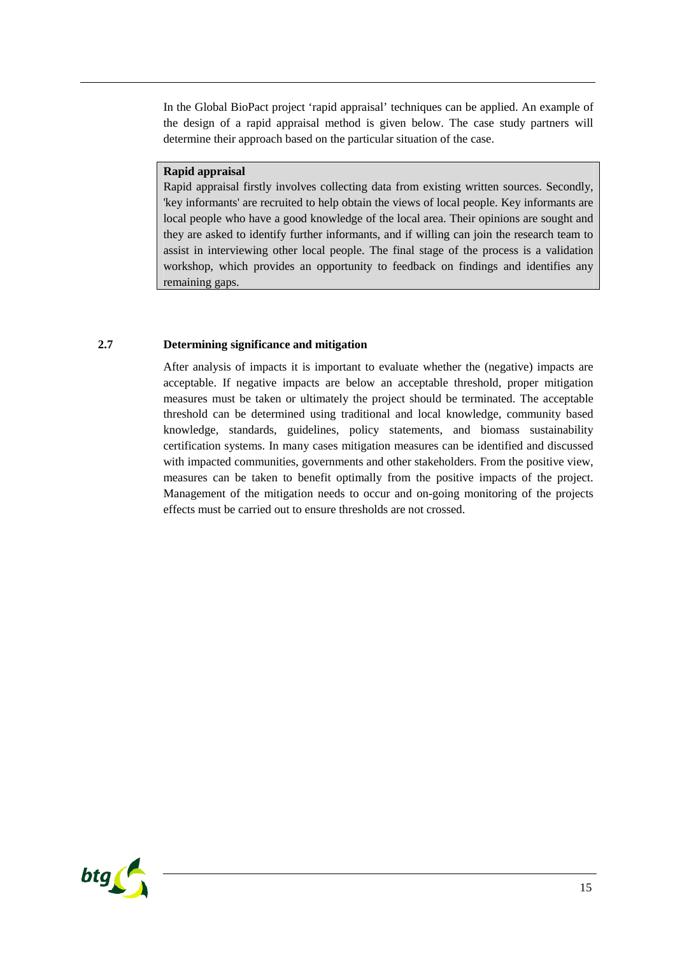In the Global BioPact project 'rapid appraisal' techniques can be applied. An example of the design of a rapid appraisal method is given below. The case study partners will determine their approach based on the particular situation of the case.

#### **Rapid appraisal**

Rapid appraisal firstly involves collecting data from existing written sources. Secondly, 'key informants' are recruited to help obtain the views of local people. Key informants are local people who have a good knowledge of the local area. Their opinions are sought and they are asked to identify further informants, and if willing can join the research team to assist in interviewing other local people. The final stage of the process is a validation workshop, which provides an opportunity to feedback on findings and identifies any remaining gaps.

## **2.7 Determining significance and mitigation**

<span id="page-15-0"></span>After analysis of impacts it is important to evaluate whether the (negative) impacts are acceptable. If negative impacts are below an acceptable threshold, proper mitigation measures must be taken or ultimately the project should be terminated. The acceptable threshold can be determined using traditional and local knowledge, community based knowledge, standards, guidelines, policy statements, and biomass sustainability certification systems. In many cases mitigation measures can be identified and discussed with impacted communities, governments and other stakeholders. From the positive view, measures can be taken to benefit optimally from the positive impacts of the project. Management of the mitigation needs to occur and on-going monitoring of the projects effects must be carried out to ensure thresholds are not crossed.

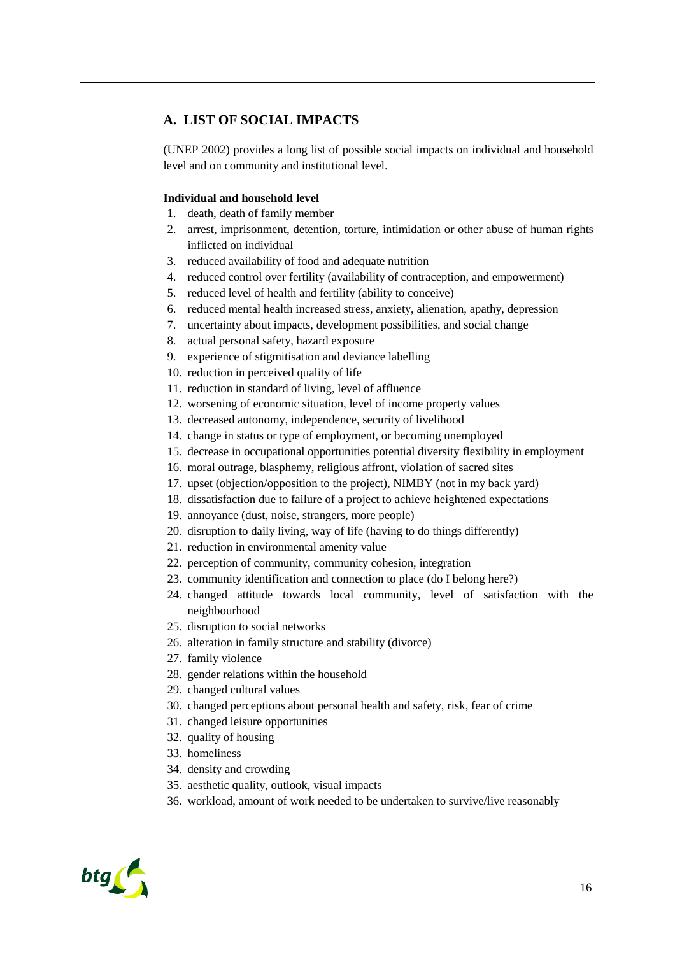# <span id="page-16-0"></span>**A. LIST OF SOCIAL IMPACTS**

(UNEP 2002) provides a long list of possible social impacts on individual and household level and on community and institutional level.

## **Individual and household level**

- 1. death, death of family member
- 2. arrest, imprisonment, detention, torture, intimidation or other abuse of human rights inflicted on individual
- 3. reduced availability of food and adequate nutrition
- 4. reduced control over fertility (availability of contraception, and empowerment)
- 5. reduced level of health and fertility (ability to conceive)
- 6. reduced mental health increased stress, anxiety, alienation, apathy, depression
- 7. uncertainty about impacts, development possibilities, and social change
- 8. actual personal safety, hazard exposure
- 9. experience of stigmitisation and deviance labelling
- 10. reduction in perceived quality of life
- 11. reduction in standard of living, level of affluence
- 12. worsening of economic situation, level of income property values
- 13. decreased autonomy, independence, security of livelihood
- 14. change in status or type of employment, or becoming unemployed
- 15. decrease in occupational opportunities potential diversity flexibility in employment
- 16. moral outrage, blasphemy, religious affront, violation of sacred sites
- 17. upset (objection/opposition to the project), NIMBY (not in my back yard)
- 18. dissatisfaction due to failure of a project to achieve heightened expectations
- 19. annoyance (dust, noise, strangers, more people)
- 20. disruption to daily living, way of life (having to do things differently)
- 21. reduction in environmental amenity value
- 22. perception of community, community cohesion, integration
- 23. community identification and connection to place (do I belong here?)
- 24. changed attitude towards local community, level of satisfaction with the neighbourhood
- 25. disruption to social networks
- 26. alteration in family structure and stability (divorce)
- 27. family violence
- 28. gender relations within the household
- 29. changed cultural values
- 30. changed perceptions about personal health and safety, risk, fear of crime
- 31. changed leisure opportunities
- 32. quality of housing
- 33. homeliness
- 34. density and crowding
- 35. aesthetic quality, outlook, visual impacts
- 36. workload, amount of work needed to be undertaken to survive/live reasonably

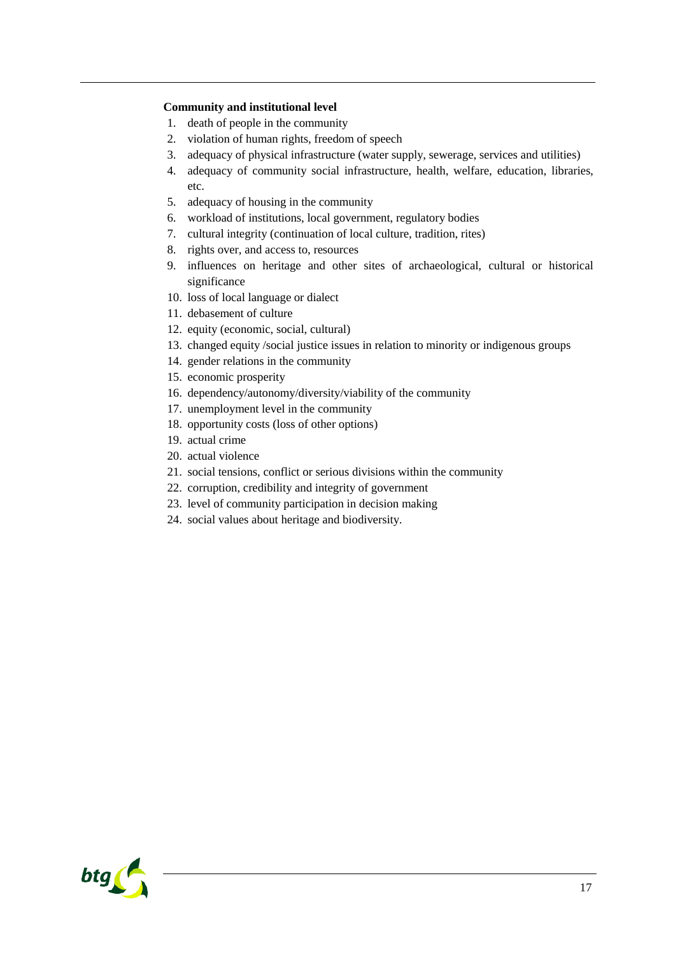#### **Community and institutional level**

- 1. death of people in the community
- 2. violation of human rights, freedom of speech
- 3. adequacy of physical infrastructure (water supply, sewerage, services and utilities)
- 4. adequacy of community social infrastructure, health, welfare, education, libraries, etc.
- 5. adequacy of housing in the community
- 6. workload of institutions, local government, regulatory bodies
- 7. cultural integrity (continuation of local culture, tradition, rites)
- 8. rights over, and access to, resources
- 9. influences on heritage and other sites of archaeological, cultural or historical significance
- 10. loss of local language or dialect
- 11. debasement of culture
- 12. equity (economic, social, cultural)
- 13. changed equity /social justice issues in relation to minority or indigenous groups
- 14. gender relations in the community
- 15. economic prosperity
- 16. dependency/autonomy/diversity/viability of the community
- 17. unemployment level in the community
- 18. opportunity costs (loss of other options)
- 19. actual crime
- 20. actual violence
- 21. social tensions, conflict or serious divisions within the community
- 22. corruption, credibility and integrity of government
- 23. level of community participation in decision making
- 24. social values about heritage and biodiversity.

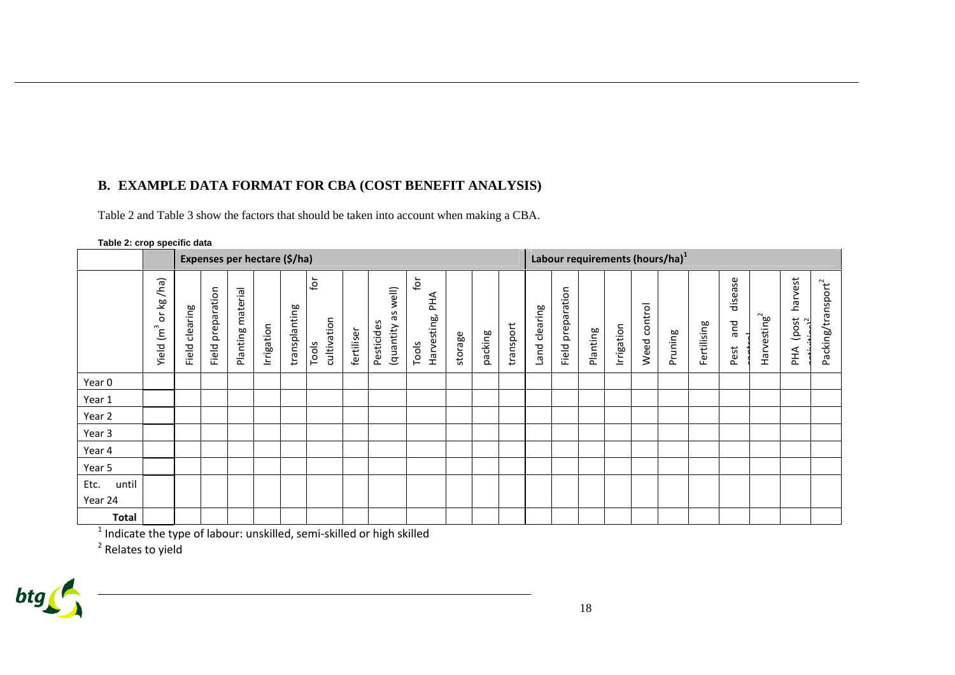# **B. EXAMPLE DATA FORMAT FOR CBA (COST BENEFIT ANALYSIS)**

[Table 2](#page-18-1)and [Table 3](#page-19-0) show the factors that should be taken into account when making a CBA.

<span id="page-18-1"></span>

| Table 2: crop specific data |                                                                                               |                              |                      |                   |            |               |                                            |            |                                        |                                    |         |                                             |           |               |                   |          |            |                 |         |             |                             |                         |                             |                                |
|-----------------------------|-----------------------------------------------------------------------------------------------|------------------------------|----------------------|-------------------|------------|---------------|--------------------------------------------|------------|----------------------------------------|------------------------------------|---------|---------------------------------------------|-----------|---------------|-------------------|----------|------------|-----------------|---------|-------------|-----------------------------|-------------------------|-----------------------------|--------------------------------|
|                             |                                                                                               | Expenses per hectare (\$/ha) |                      |                   |            |               |                                            |            |                                        |                                    |         | Labour requirements (hours/ha) <sup>1</sup> |           |               |                   |          |            |                 |         |             |                             |                         |                             |                                |
|                             | (ha)<br>$\underline{\mathbf{w}}$<br>$\overleftarrow{\mathrm{o}}$<br>$\mathfrak{m}^3$<br>Yield | clearing<br>Field            | preparation<br>Field | Planting material | Irrigation | transplanting | $\mathbf{\dot{e}}$<br>cultivation<br>Tools | fertiliser | well)<br>SΡ<br>Pesticides<br>(quantity | for<br>АНЧ<br>Harvesting,<br>Tools | storage | packing                                     | transport | Land clearing | Field preparation | Planting | Irrigation | control<br>Weed | Pruning | Fertilising | ase<br>disea<br>and<br>Pest | Harvesting <sup>2</sup> | harvest<br>post<br>.2<br>₹Ч | Packing/transport <sup>2</sup> |
| Year 0                      |                                                                                               |                              |                      |                   |            |               |                                            |            |                                        |                                    |         |                                             |           |               |                   |          |            |                 |         |             |                             |                         |                             |                                |
| Year 1                      |                                                                                               |                              |                      |                   |            |               |                                            |            |                                        |                                    |         |                                             |           |               |                   |          |            |                 |         |             |                             |                         |                             |                                |
| Year 2                      |                                                                                               |                              |                      |                   |            |               |                                            |            |                                        |                                    |         |                                             |           |               |                   |          |            |                 |         |             |                             |                         |                             |                                |
| Year 3                      |                                                                                               |                              |                      |                   |            |               |                                            |            |                                        |                                    |         |                                             |           |               |                   |          |            |                 |         |             |                             |                         |                             |                                |
| Year 4                      |                                                                                               |                              |                      |                   |            |               |                                            |            |                                        |                                    |         |                                             |           |               |                   |          |            |                 |         |             |                             |                         |                             |                                |
| Year 5                      |                                                                                               |                              |                      |                   |            |               |                                            |            |                                        |                                    |         |                                             |           |               |                   |          |            |                 |         |             |                             |                         |                             |                                |
| until<br>Etc.               |                                                                                               |                              |                      |                   |            |               |                                            |            |                                        |                                    |         |                                             |           |               |                   |          |            |                 |         |             |                             |                         |                             |                                |
| Year 24                     |                                                                                               |                              |                      |                   |            |               |                                            |            |                                        |                                    |         |                                             |           |               |                   |          |            |                 |         |             |                             |                         |                             |                                |
| <b>Total</b>                |                                                                                               |                              |                      |                   |            |               |                                            |            |                                        |                                    |         |                                             |           |               |                   |          |            |                 |         |             |                             |                         |                             |                                |

<span id="page-18-2"></span><span id="page-18-0"></span> $^1$  Indicate the type of labour: unskilled, semi-skilled or high skilled

<sup>2</sup> Relates to yield

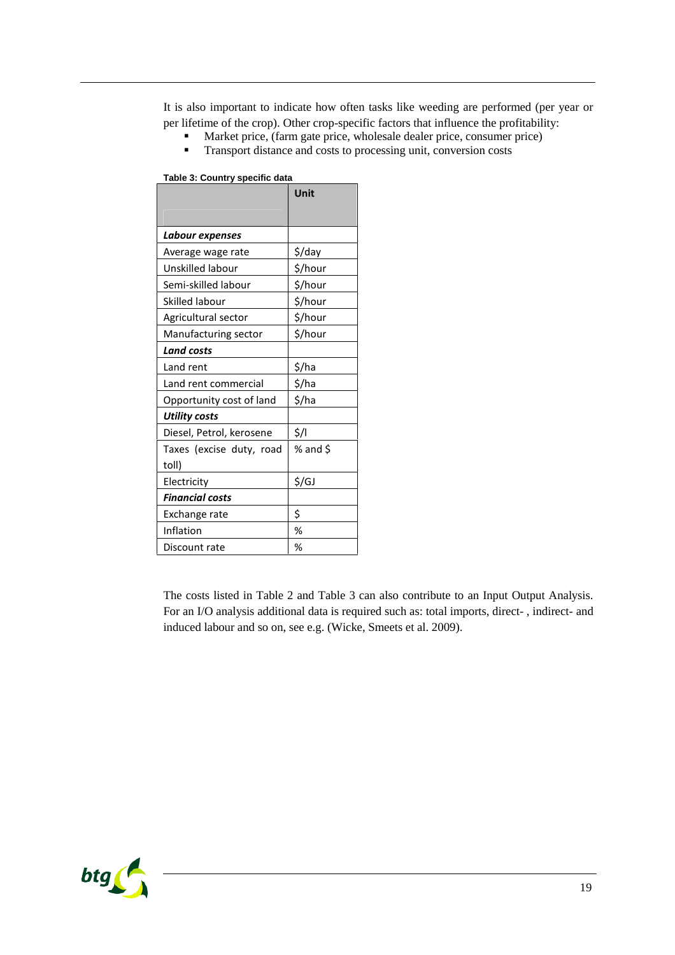<span id="page-19-0"></span>It is also important to indicate how often tasks like weeding are performed (per year or per lifetime of the crop). Other crop-specific factors that influence the profitability:

- Market price, (farm gate price, wholesale dealer price, consumer price)
- **Transport distance and costs to processing unit, conversion costs**

<span id="page-19-1"></span>**Table 3: Country specific data**

|                          | Unit     |  |  |  |  |
|--------------------------|----------|--|--|--|--|
| Labour expenses          |          |  |  |  |  |
| Average wage rate        | \$/day   |  |  |  |  |
| Unskilled labour         | \$/hour  |  |  |  |  |
| Semi-skilled labour      | \$/hour  |  |  |  |  |
| Skilled labour           | \$/hour  |  |  |  |  |
| Agricultural sector      | \$/hour  |  |  |  |  |
| Manufacturing sector     | \$/hour  |  |  |  |  |
| <b>Land costs</b>        |          |  |  |  |  |
| Land rent                | \$/ha    |  |  |  |  |
| Land rent commercial     | \$/ha    |  |  |  |  |
| Opportunity cost of land | \$/ha    |  |  |  |  |
| <b>Utility costs</b>     |          |  |  |  |  |
| Diesel, Petrol, kerosene | \$/I     |  |  |  |  |
| Taxes (excise duty, road | % and \$ |  |  |  |  |
| toll)                    |          |  |  |  |  |
| Electricity              | \$/GJ    |  |  |  |  |
| <b>Financial costs</b>   |          |  |  |  |  |
| Exchange rate            | \$       |  |  |  |  |
| Inflation                | %        |  |  |  |  |
| Discount rate            | %        |  |  |  |  |

The costs listedin [Table 2](#page-18-2)and [Table 3](#page-19-1) can also contribute to an Input Output Analysis. For an I/O analysis additional data is required such as: total imports, direct- , indirect- and induced labour and so on, see e.g. (Wicke, Smeets et al. 2009).